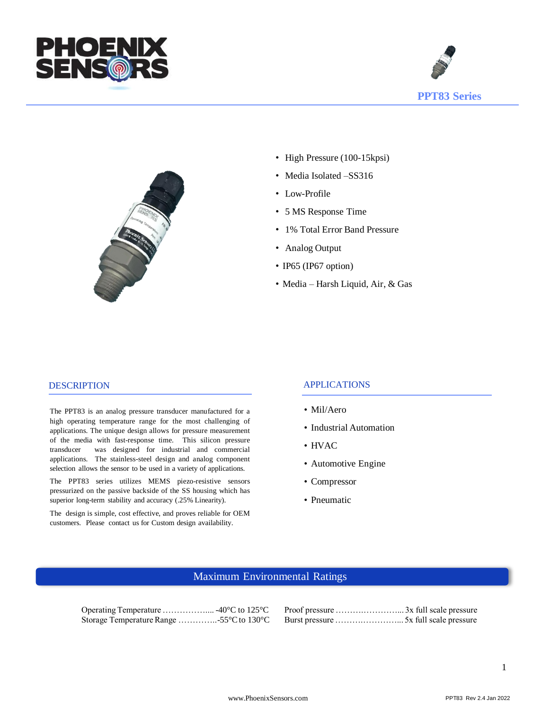





- High Pressure (100-15 kpsi)
- Media Isolated -SS316
- Low-Profile
- 5 MS Response Time
- 1% Total Error Band Pressure
- Analog Output
- IP65 (IP67 option)
- Media Harsh Liquid, Air, & Gas

#### **DESCRIPTION**

The PPT83 is an analog pressure transducer manufactured for a high operating temperature range for the most challenging of applications. The unique design allows for pressure measurement of the media with fast-response time. This silicon pressure transducer was designed for industrial and commercial applications. The stainless-steel design and analog component selection allows the sensor to be used in a variety of applications.

The PPT83 series utilizes MEMS piezo-resistive sensors pressurized on the passive backside of the SS housing which has superior long-term stability and accuracy (.25% Linearity).

The design is simple, cost effective, and proves reliable for OEM customers. Please contact us for Custom design availability.

#### APPLICATIONS

- Mil/Aero
- Industrial Automation
- HVAC
- Automotive Engine
- Compressor
- Pneumatic

### Maximum Environmental Ratings

Operating Temperature …………….... -40°C to 125°C Proof pressure ……….…………... 3x full scale pressure Storage Temperature Range …………..55°C to 130°C Burst pressure …………………………………5x full scale pressure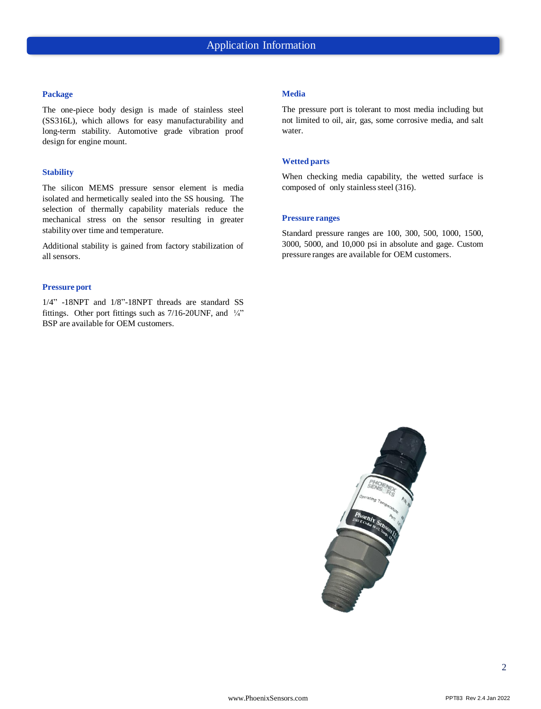#### **Package**

The one-piece body design is made of stainless steel (SS316L), which allows for easy manufacturability and long-term stability. Automotive grade vibration proof design for engine mount.

#### **Stability**

The silicon MEMS pressure sensor element is media isolated and hermetically sealed into the SS housing. The selection of thermally capability materials reduce the mechanical stress on the sensor resulting in greater stability over time and temperature.

Additional stability is gained from factory stabilization of all sensors.

#### **Pressure port**

1/4" -18NPT and 1/8"-18NPT threads are standard SS fittings. Other port fittings such as 7/16-20UNF, and ¼" BSP are available for OEM customers.

#### **Media**

The pressure port is tolerant to most media including but not limited to oil, air, gas, some corrosive media, and salt water.

#### **Wetted parts**

When checking media capability, the wetted surface is composed of only stainless steel (316).

#### **Pressure ranges**

Standard pressure ranges are 100, 300, 500, 1000, 1500, 3000, 5000, and 10,000 psi in absolute and gage. Custom pressure ranges are available for OEM customers.

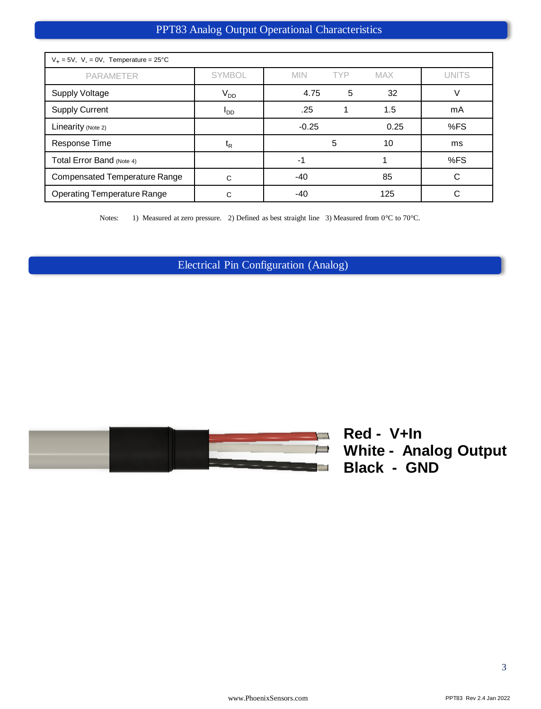## PPT83 Analog Output Operational Characteristics

| $V_+ = 5V$ , $V_- = 0V$ , Temperature = 25°C |                  |                          |            |              |  |
|----------------------------------------------|------------------|--------------------------|------------|--------------|--|
| <b>PARAMETER</b>                             | <b>SYMBOL</b>    | <b>TYP</b><br><b>MIN</b> | <b>MAX</b> | <b>UNITS</b> |  |
| <b>Supply Voltage</b>                        | $V_{DD}$         | 4.75<br>5                | 32         |              |  |
| <b>Supply Current</b>                        | $I_{DD}$         | .25                      | 1.5        | mA           |  |
| Linearity (Note 2)                           |                  | $-0.25$                  | 0.25       | %FS          |  |
| Response Time                                | $t_{\mathsf{R}}$ | 5                        | 10         | ms           |  |
| Total Error Band (Note 4)                    |                  | -1                       |            | %FS          |  |
| <b>Compensated Temperature Range</b>         | C                | $-40$                    | 85         | C            |  |
| <b>Operating Temperature Range</b>           | C                | -40                      | 125        |              |  |

Notes: 1) Measured at zero pressure. 2) Defined as best straight line 3) Measured from 0°C to 70°C.

Electrical Pin Configuration (Analog)



**Red - V+In White - Analog Output Black - GND**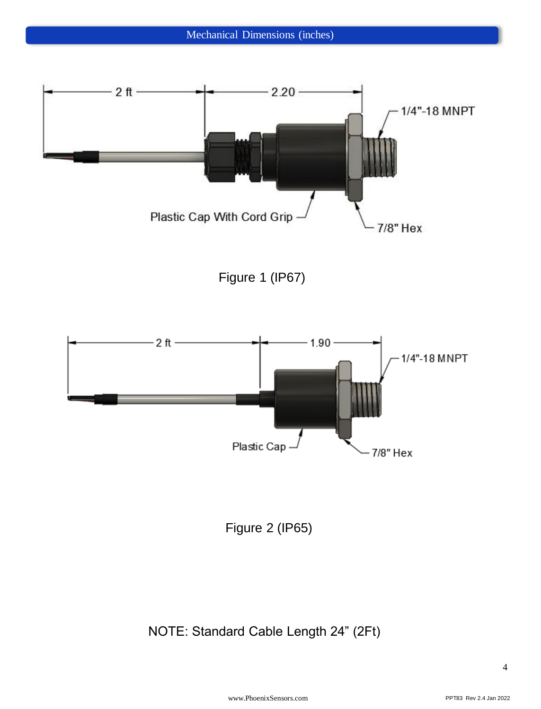

Figure 1 (IP67)



Figure 2 (IP65)

# NOTE: Standard Cable Length 24" (2Ft)